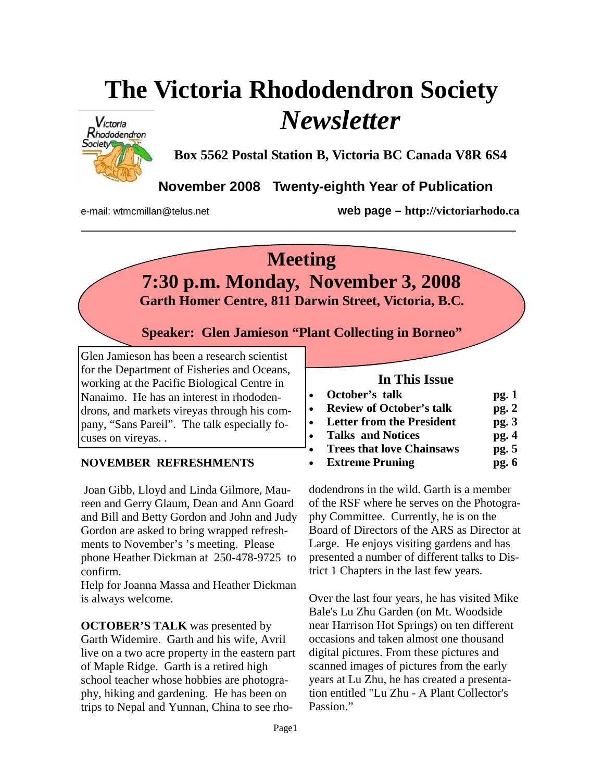# **The Victoria Rhododendron Society**  *Newsletter*



**Box 5562 Postal Station B, Victoria BC Canada V8R 6S4** 

**November 2008 Twenty-eighth Year of Publication** 

e-mail: wtmcmillan@telus.net **web page – http://victoriarhodo.ca**

# **Meeting**

**\_\_\_\_\_\_\_\_\_\_\_\_\_\_\_\_\_\_\_\_\_\_\_\_\_\_\_\_\_\_\_\_\_\_\_\_\_\_\_\_\_\_\_\_\_\_\_\_\_\_\_\_\_\_\_\_\_\_\_\_\_\_\_** 

**7:30 p.m. Monday, November 3, 2008** 

**Garth Homer Centre, 811 Darwin Street, Victoria, B.C.** 

**Speaker: Glen Jamieson "Plant Collecting in Borneo"** 

Glen Jamieson has been a research scientist for the Department of Fisheries and Oceans, working at the Pacific Biological Centre in Nanaimo. He has an interest in rhododendrons, and markets vireyas through his company, "Sans Pareil". The talk especially focuses on vireyas. .

### **NOVEMBER REFRESHMENTS**

 Joan Gibb, Lloyd and Linda Gilmore, Maureen and Gerry Glaum, Dean and Ann Goard and Bill and Betty Gordon and John and Judy Gordon are asked to bring wrapped refreshments to November's 's meeting. Please phone Heather Dickman at 250-478-9725 to confirm.

Help for Joanna Massa and Heather Dickman is always welcome.

**OCTOBER'S TALK** was presented by Garth Widemire. Garth and his wife, Avril live on a two acre property in the eastern part of Maple Ridge. Garth is a retired high school teacher whose hobbies are photography, hiking and gardening. He has been on trips to Nepal and Yunnan, China to see rho-

#### **In This Issue**

| $\bullet$ | October's talk                  | pg.1  |
|-----------|---------------------------------|-------|
| $\bullet$ | <b>Review of October's talk</b> | pg.2  |
|           | • Letter from the President     | pg.3  |
|           | • Talks and Notices             | pg.4  |
|           | • Trees that love Chainsaws     | pg. 5 |
|           | • Extreme Pruning               | pg.6  |

dodendrons in the wild. Garth is a member of the RSF where he serves on the Photography Committee. Currently, he is on the Board of Directors of the ARS as Director at Large. He enjoys visiting gardens and has presented a number of different talks to District 1 Chapters in the last few years.

Over the last four years, he has visited Mike Bale's Lu Zhu Garden (on Mt. Woodside near Harrison Hot Springs) on ten different occasions and taken almost one thousand digital pictures. From these pictures and scanned images of pictures from the early years at Lu Zhu, he has created a presentation entitled "Lu Zhu - A Plant Collector's Passion."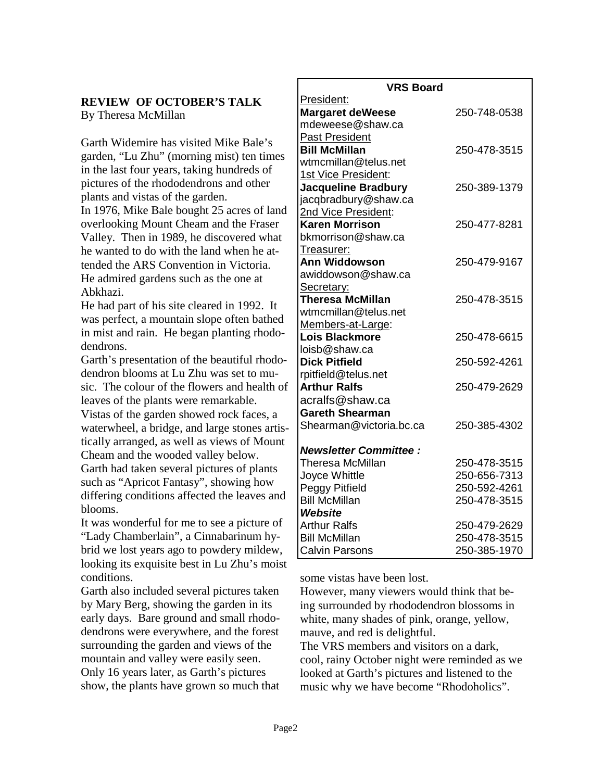#### **REVIEW OF OCTOBER'S TALK**  By Theresa McMillan

Garth Widemire has visited Mike Bale's garden, "Lu Zhu" (morning mist) ten times in the last four years, taking hundreds of pictures of the rhododendrons and other plants and vistas of the garden.

In 1976, Mike Bale bought 25 acres of land overlooking Mount Cheam and the Fraser Valley. Then in 1989, he discovered what he wanted to do with the land when he attended the ARS Convention in Victoria. He admired gardens such as the one at Abkhazi.

He had part of his site cleared in 1992. It was perfect, a mountain slope often bathed in mist and rain. He began planting rhododendrons.

Garth's presentation of the beautiful rhododendron blooms at Lu Zhu was set to music. The colour of the flowers and health of leaves of the plants were remarkable. Vistas of the garden showed rock faces, a waterwheel, a bridge, and large stones artistically arranged, as well as views of Mount Cheam and the wooded valley below. Garth had taken several pictures of plants such as "Apricot Fantasy", showing how differing conditions affected the leaves and blooms.

It was wonderful for me to see a picture of "Lady Chamberlain", a Cinnabarinum hybrid we lost years ago to powdery mildew, looking its exquisite best in Lu Zhu's moist conditions.

Garth also included several pictures taken by Mary Berg, showing the garden in its early days. Bare ground and small rhododendrons were everywhere, and the forest surrounding the garden and views of the mountain and valley were easily seen. Only 16 years later, as Garth's pictures show, the plants have grown so much that

| <b>VRS Board</b>             |              |  |
|------------------------------|--------------|--|
| President:                   |              |  |
| <b>Margaret deWeese</b>      | 250-748-0538 |  |
| mdeweese@shaw.ca             |              |  |
| <b>Past President</b>        |              |  |
| <b>Bill McMillan</b>         | 250-478-3515 |  |
| wtmcmillan@telus.net         |              |  |
| 1st Vice President:          |              |  |
| <b>Jacqueline Bradbury</b>   | 250-389-1379 |  |
| jacqbradbury@shaw.ca         |              |  |
| 2nd Vice President:          |              |  |
| <b>Karen Morrison</b>        | 250-477-8281 |  |
| bkmorrison@shaw.ca           |              |  |
| Treasurer:                   |              |  |
| <b>Ann Widdowson</b>         | 250-479-9167 |  |
| awiddowson@shaw.ca           |              |  |
| Secretary:                   |              |  |
| <b>Theresa McMillan</b>      | 250-478-3515 |  |
| wtmcmillan@telus.net         |              |  |
| Members-at-Large:            |              |  |
| <b>Lois Blackmore</b>        | 250-478-6615 |  |
| loisb@shaw.ca                |              |  |
| <b>Dick Pitfield</b>         | 250-592-4261 |  |
| rpitfield@telus.net          |              |  |
| <b>Arthur Ralfs</b>          | 250-479-2629 |  |
| acralfs@shaw.ca              |              |  |
| <b>Gareth Shearman</b>       |              |  |
| Shearman@victoria.bc.ca      | 250-385-4302 |  |
| <b>Newsletter Committee:</b> |              |  |
| Theresa McMillan             | 250-478-3515 |  |
| Joyce Whittle                | 250-656-7313 |  |
| Peggy Pitfield               | 250-592-4261 |  |
| <b>Bill McMillan</b>         | 250-478-3515 |  |
| Website                      |              |  |
| <b>Arthur Ralfs</b>          | 250-479-2629 |  |
| <b>Bill McMillan</b>         | 250-478-3515 |  |
| <b>Calvin Parsons</b>        | 250-385-1970 |  |

some vistas have been lost.

However, many viewers would think that being surrounded by rhododendron blossoms in white, many shades of pink, orange, yellow, mauve, and red is delightful.

The VRS members and visitors on a dark, cool, rainy October night were reminded as we looked at Garth's pictures and listened to the music why we have become "Rhodoholics".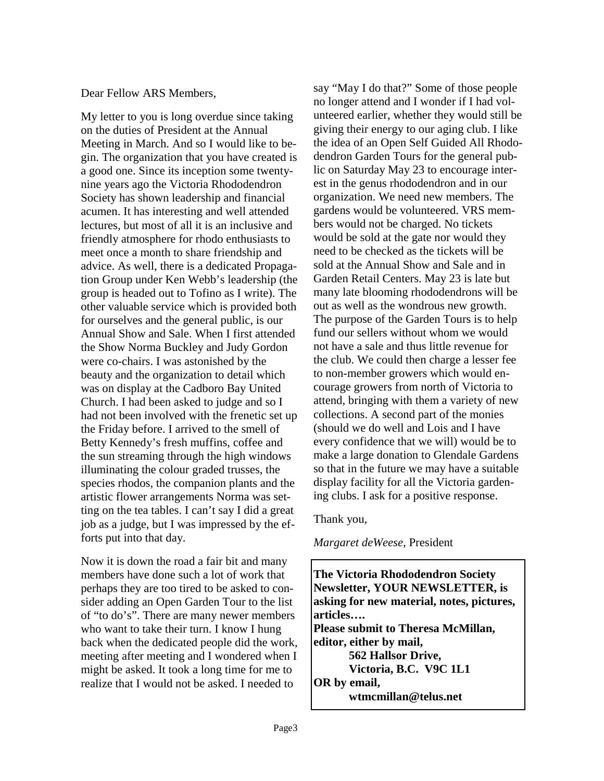#### Dear Fellow ARS Members,

My letter to you is long overdue since taking on the duties of President at the Annual Meeting in March. And so I would like to begin. The organization that you have created is a good one. Since its inception some twentynine years ago the Victoria Rhododendron Society has shown leadership and financial acumen. It has interesting and well attended lectures, but most of all it is an inclusive and friendly atmosphere for rhodo enthusiasts to meet once a month to share friendship and advice. As well, there is a dedicated Propagation Group under Ken Webb's leadership (the group is headed out to Tofino as I write). The other valuable service which is provided both for ourselves and the general public, is our Annual Show and Sale. When I first attended the Show Norma Buckley and Judy Gordon were co-chairs. I was astonished by the beauty and the organization to detail which was on display at the Cadboro Bay United Church. I had been asked to judge and so I had not been involved with the frenetic set up the Friday before. I arrived to the smell of Betty Kennedy's fresh muffins, coffee and the sun streaming through the high windows illuminating the colour graded trusses, the species rhodos, the companion plants and the artistic flower arrangements Norma was setting on the tea tables. I can't say I did a great job as a judge, but I was impressed by the efforts put into that day.

Now it is down the road a fair bit and many members have done such a lot of work that perhaps they are too tired to be asked to consider adding an Open Garden Tour to the list of "to do's". There are many newer members who want to take their turn. I know I hung back when the dedicated people did the work, meeting after meeting and I wondered when I might be asked. It took a long time for me to realize that I would not be asked. I needed to

say "May I do that?" Some of those people no longer attend and I wonder if I had volunteered earlier, whether they would still be giving their energy to our aging club. I like the idea of an Open Self Guided All Rhododendron Garden Tours for the general public on Saturday May 23 to encourage interest in the genus rhododendron and in our organization. We need new members. The gardens would be volunteered. VRS members would not be charged. No tickets would be sold at the gate nor would they need to be checked as the tickets will be sold at the Annual Show and Sale and in Garden Retail Centers. May 23 is late but many late blooming rhododendrons will be out as well as the wondrous new growth. The purpose of the Garden Tours is to help fund our sellers without whom we would not have a sale and thus little revenue for the club. We could then charge a lesser fee to non-member growers which would encourage growers from north of Victoria to attend, bringing with them a variety of new collections. A second part of the monies (should we do well and Lois and I have every confidence that we will) would be to make a large donation to Glendale Gardens so that in the future we may have a suitable display facility for all the Victoria gardening clubs. I ask for a positive response.

#### Thank you,

#### *Margaret deWeese*, President

**The Victoria Rhododendron Society Newsletter, YOUR NEWSLETTER, is asking for new material, notes, pictures, articles…. Please submit to Theresa McMillan, editor, either by mail, 562 Hallsor Drive, Victoria, B.C. V9C 1L1 OR by email, wtmcmillan@telus.net**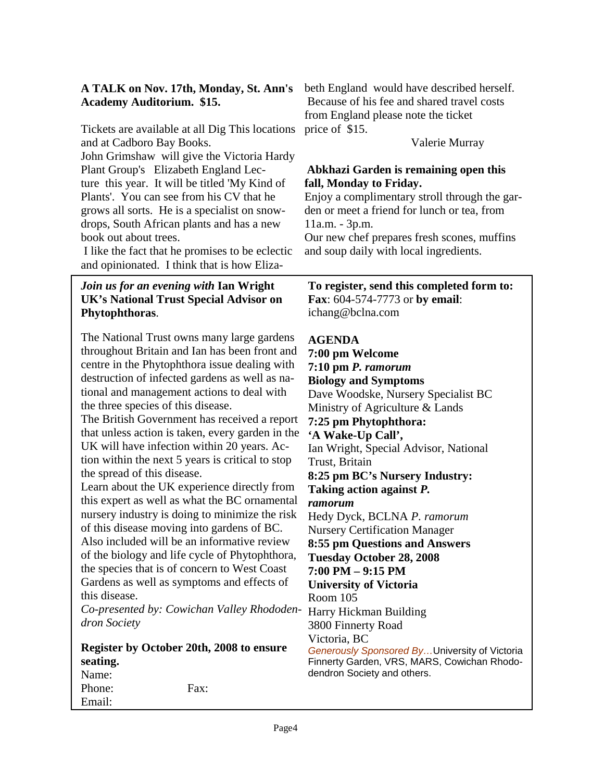#### **A TALK on Nov. 17th, Monday, St. Ann's Academy Auditorium. \$15.**

Tickets are available at all Dig This locations and at Cadboro Bay Books. John Grimshaw will give the Victoria Hardy Plant Group's Elizabeth England Lecture this year. It will be titled 'My Kind of Plants'. You can see from his CV that he grows all sorts. He is a specialist on snowdrops, South African plants and has a new book out about trees.

 I like the fact that he promises to be eclectic and opinionated. I think that is how Eliza-

#### *Join us for an evening with* **Ian Wright UK's National Trust Special Advisor on Phytophthoras**.

The National Trust owns many large gardens throughout Britain and Ian has been front and centre in the Phytophthora issue dealing with destruction of infected gardens as well as national and management actions to deal with the three species of this disease.

The British Government has received a report that unless action is taken, every garden in the UK will have infection within 20 years. Action within the next 5 years is critical to stop the spread of this disease.

Learn about the UK experience directly from this expert as well as what the BC ornamental nursery industry is doing to minimize the risk of this disease moving into gardens of BC. Also included will be an informative review of the biology and life cycle of Phytophthora, the species that is of concern to West Coast Gardens as well as symptoms and effects of

this disease. *Co-presented by: Cowichan Valley Rhododen-*Harry Hickman Building *dron Society* 

#### **Register by October 20th, 2008 to ensure seating.**  Name: Phone: Fax: Email:

beth England would have described herself. Because of his fee and shared travel costs from England please note the ticket price of \$15.

Valerie Murray

#### **Abkhazi Garden is remaining open this fall, Monday to Friday.**

Enjoy a complimentary stroll through the garden or meet a friend for lunch or tea, from 11a.m. - 3p.m.

Our new chef prepares fresh scones, muffins and soup daily with local ingredients.

#### **To register, send this completed form to: Fax**: 604-574-7773 or **by email**: ichang@bclna.com

#### **AGENDA**

**7:00 pm Welcome 7:10 pm** *P. ramorum*  **Biology and Symptoms**  Dave Woodske, Nursery Specialist BC Ministry of Agriculture & Lands **7:25 pm Phytophthora: 'A Wake-Up Call',**  Ian Wright, Special Advisor, National Trust, Britain **8:25 pm BC's Nursery Industry: Taking action against** *P. ramorum*  Hedy Dyck, BCLNA *P. ramorum*  Nursery Certification Manager **8:55 pm Questions and Answers Tuesday October 28, 2008 7:00 PM – 9:15 PM University of Victoria**  Room 105 3800 Finnerty Road Victoria, BC *Generously Sponsored By…*University of Victoria Finnerty Garden, VRS, MARS, Cowichan Rhododendron Society and others.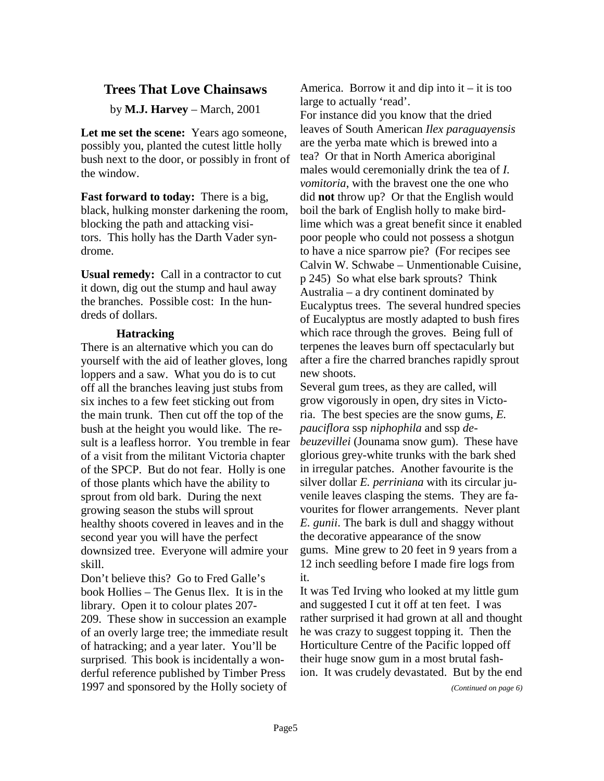#### **Trees That Love Chainsaws**

by **M.J. Harvey** – March, 2001

**Let me set the scene:** Years ago someone, possibly you, planted the cutest little holly bush next to the door, or possibly in front of the window.

**Fast forward to today:** There is a big, black, hulking monster darkening the room, blocking the path and attacking visitors. This holly has the Darth Vader syndrome.

**Usual remedy:** Call in a contractor to cut it down, dig out the stump and haul away the branches. Possible cost: In the hundreds of dollars.

#### **Hatracking**

There is an alternative which you can do yourself with the aid of leather gloves, long loppers and a saw. What you do is to cut off all the branches leaving just stubs from six inches to a few feet sticking out from the main trunk. Then cut off the top of the bush at the height you would like. The result is a leafless horror. You tremble in fear of a visit from the militant Victoria chapter of the SPCP. But do not fear. Holly is one of those plants which have the ability to sprout from old bark. During the next growing season the stubs will sprout healthy shoots covered in leaves and in the second year you will have the perfect downsized tree. Everyone will admire your skill.

Don't believe this? Go to Fred Galle's book Hollies – The Genus Ilex. It is in the library. Open it to colour plates 207- 209. These show in succession an example of an overly large tree; the immediate result of hatracking; and a year later. You'll be surprised. This book is incidentally a wonderful reference published by Timber Press 1997 and sponsored by the Holly society of

America. Borrow it and dip into  $it - it$  is too large to actually 'read'.

For instance did you know that the dried leaves of South American *Ilex paraguayensis* are the yerba mate which is brewed into a tea? Or that in North America aboriginal males would ceremonially drink the tea of *I. vomitoria*, with the bravest one the one who did **not** throw up? Or that the English would boil the bark of English holly to make birdlime which was a great benefit since it enabled poor people who could not possess a shotgun to have a nice sparrow pie? (For recipes see Calvin W. Schwabe – Unmentionable Cuisine, p 245) So what else bark sprouts? Think Australia – a dry continent dominated by Eucalyptus trees. The several hundred species of Eucalyptus are mostly adapted to bush fires which race through the groves. Being full of terpenes the leaves burn off spectacularly but after a fire the charred branches rapidly sprout new shoots.

Several gum trees, as they are called, will grow vigorously in open, dry sites in Victoria. The best species are the snow gums, *E. pauciflora* ssp *niphophila* and ssp *debeuzevillei* (Jounama snow gum). These have glorious grey-white trunks with the bark shed in irregular patches. Another favourite is the silver dollar *E. perriniana* with its circular juvenile leaves clasping the stems. They are favourites for flower arrangements. Never plant *E. gunii*. The bark is dull and shaggy without the decorative appearance of the snow gums. Mine grew to 20 feet in 9 years from a 12 inch seedling before I made fire logs from it.

It was Ted Irving who looked at my little gum and suggested I cut it off at ten feet. I was rather surprised it had grown at all and thought he was crazy to suggest topping it. Then the Horticulture Centre of the Pacific lopped off their huge snow gum in a most brutal fashion. It was crudely devastated. But by the end

*(Continued on page 6)*